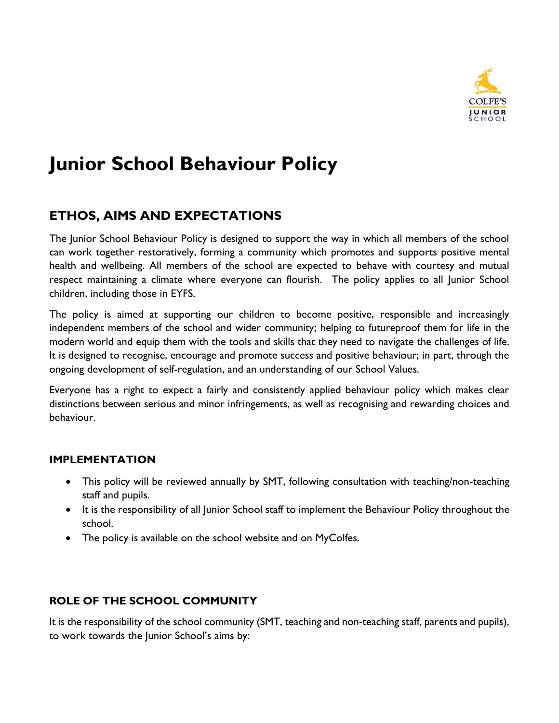

# **Junior School Behaviour Policy**

## **ETHOS, AIMS AND EXPECTATIONS**

The Junior School Behaviour Policy is designed to support the way in which all members of the school can work together restoratively, forming a community which promotes and supports positive mental health and wellbeing. All members of the school are expected to behave with courtesy and mutual respect maintaining a climate where everyone can flourish. The policy applies to all Junior School children, including those in EYFS.

The policy is aimed at supporting our children to become positive, responsible and increasingly independent members of the school and wider community; helping to futureproof them for life in the modern world and equip them with the tools and skills that they need to navigate the challenges of life. It is designed to recognise, encourage and promote success and positive behaviour; in part, through the ongoing development of self-regulation, and an understanding of our School Values.

Everyone has a right to expect a fairly and consistently applied behaviour policy which makes clear distinctions between serious and minor infringements, as well as recognising and rewarding choices and behaviour.

#### **IMPLEMENTATION**

- This policy will be reviewed annually by SMT, following consultation with teaching/non-teaching staff and pupils.
- It is the responsibility of all Junior School staff to implement the Behaviour Policy throughout the school.
- The policy is available on the school website and on MyColfes.

#### **ROLE OF THE SCHOOL COMMUNITY**

It is the responsibility of the school community (SMT, teaching and non-teaching staff, parents and pupils), to work towards the Junior School's aims by: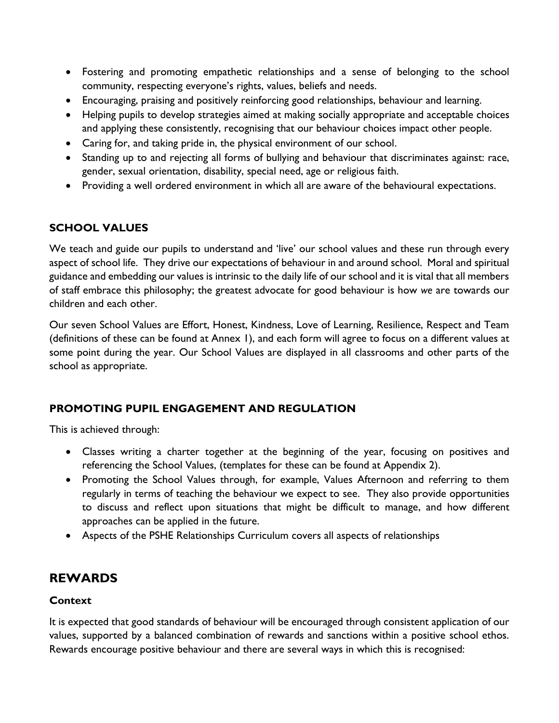- Fostering and promoting empathetic relationships and a sense of belonging to the school community, respecting everyone's rights, values, beliefs and needs.
- Encouraging, praising and positively reinforcing good relationships, behaviour and learning.
- Helping pupils to develop strategies aimed at making socially appropriate and acceptable choices and applying these consistently, recognising that our behaviour choices impact other people.
- Caring for, and taking pride in, the physical environment of our school.
- Standing up to and rejecting all forms of bullying and behaviour that discriminates against: race, gender, sexual orientation, disability, special need, age or religious faith.
- Providing a well ordered environment in which all are aware of the behavioural expectations.

#### **SCHOOL VALUES**

We teach and guide our pupils to understand and 'live' our school values and these run through every aspect of school life. They drive our expectations of behaviour in and around school. Moral and spiritual guidance and embedding our values is intrinsic to the daily life of our school and it is vital that all members of staff embrace this philosophy; the greatest advocate for good behaviour is how *we* are towards our children and each other.

Our seven School Values are Effort, Honest, Kindness, Love of Learning, Resilience, Respect and Team (definitions of these can be found at Annex 1), and each form will agree to focus on a different values at some point during the year. Our School Values are displayed in all classrooms and other parts of the school as appropriate.

#### **PROMOTING PUPIL ENGAGEMENT AND REGULATION**

This is achieved through:

- Classes writing a charter together at the beginning of the year, focusing on positives and referencing the School Values, (templates for these can be found at Appendix 2).
- Promoting the School Values through, for example, Values Afternoon and referring to them regularly in terms of teaching the behaviour we expect to see. They also provide opportunities to discuss and reflect upon situations that might be difficult to manage, and how different approaches can be applied in the future.
- Aspects of the PSHE Relationships Curriculum covers all aspects of relationships

## **REWARDS**

#### **Context**

It is expected that good standards of behaviour will be encouraged through consistent application of our values, supported by a balanced combination of rewards and sanctions within a positive school ethos. Rewards encourage positive behaviour and there are several ways in which this is recognised: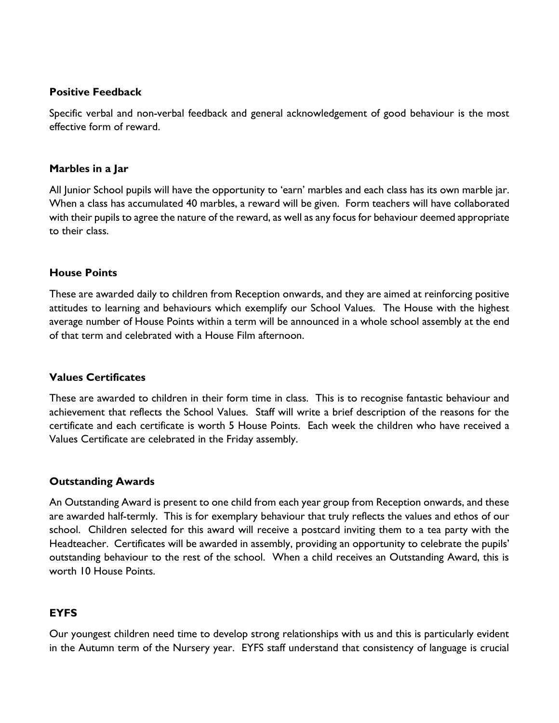#### **Positive Feedback**

Specific verbal and non-verbal feedback and general acknowledgement of good behaviour is the most effective form of reward.

#### **Marbles in a Jar**

All Junior School pupils will have the opportunity to 'earn' marbles and each class has its own marble jar. When a class has accumulated 40 marbles, a reward will be given. Form teachers will have collaborated with their pupils to agree the nature of the reward, as well as any focus for behaviour deemed appropriate to their class.

#### **House Points**

These are awarded daily to children from Reception onwards, and they are aimed at reinforcing positive attitudes to learning and behaviours which exemplify our School Values. The House with the highest average number of House Points within a term will be announced in a whole school assembly at the end of that term and celebrated with a House Film afternoon.

#### **Values Certificates**

These are awarded to children in their form time in class. This is to recognise fantastic behaviour and achievement that reflects the School Values. Staff will write a brief description of the reasons for the certificate and each certificate is worth 5 House Points. Each week the children who have received a Values Certificate are celebrated in the Friday assembly.

#### **Outstanding Awards**

An Outstanding Award is present to one child from each year group from Reception onwards, and these are awarded half-termly. This is for exemplary behaviour that truly reflects the values and ethos of our school. Children selected for this award will receive a postcard inviting them to a tea party with the Headteacher. Certificates will be awarded in assembly, providing an opportunity to celebrate the pupils' outstanding behaviour to the rest of the school. When a child receives an Outstanding Award, this is worth 10 House Points.

#### **EYFS**

Our youngest children need time to develop strong relationships with us and this is particularly evident in the Autumn term of the Nursery year. EYFS staff understand that consistency of language is crucial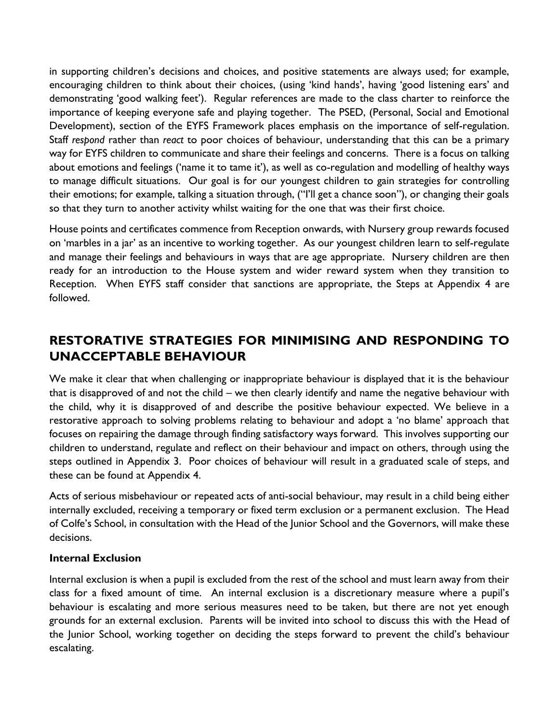in supporting children's decisions and choices, and positive statements are always used; for example, encouraging children to think about their choices, (using 'kind hands', having 'good listening ears' and demonstrating 'good walking feet'). Regular references are made to the class charter to reinforce the importance of keeping everyone safe and playing together. The PSED, (Personal, Social and Emotional Development), section of the EYFS Framework places emphasis on the importance of self-regulation. Staff *respond* rather than *react* to poor choices of behaviour, understanding that this can be a primary way for EYFS children to communicate and share their feelings and concerns. There is a focus on talking about emotions and feelings ('name it to tame it'), as well as co-regulation and modelling of healthy ways to manage difficult situations. Our goal is for our youngest children to gain strategies for controlling their emotions; for example, talking a situation through, ("I'll get a chance soon"), or changing their goals so that they turn to another activity whilst waiting for the one that was their first choice.

House points and certificates commence from Reception onwards, with Nursery group rewards focused on 'marbles in a jar' as an incentive to working together. As our youngest children learn to self-regulate and manage their feelings and behaviours in ways that are age appropriate. Nursery children are then ready for an introduction to the House system and wider reward system when they transition to Reception. When EYFS staff consider that sanctions are appropriate, the Steps at Appendix 4 are followed.

## **RESTORATIVE STRATEGIES FOR MINIMISING AND RESPONDING TO UNACCEPTABLE BEHAVIOUR**

We make it clear that when challenging or inappropriate behaviour is displayed that it is the behaviour that is disapproved of and not the child – we then clearly identify and name the negative behaviour with the child, why it is disapproved of and describe the positive behaviour expected. We believe in a restorative approach to solving problems relating to behaviour and adopt a 'no blame' approach that focuses on repairing the damage through finding satisfactory ways forward. This involves supporting our children to understand, regulate and reflect on their behaviour and impact on others, through using the steps outlined in Appendix 3. Poor choices of behaviour will result in a graduated scale of steps, and these can be found at Appendix 4.

Acts of serious misbehaviour or repeated acts of anti-social behaviour, may result in a child being either internally excluded, receiving a temporary or fixed term exclusion or a permanent exclusion. The Head of Colfe's School, in consultation with the Head of the Junior School and the Governors, will make these decisions.

#### **Internal Exclusion**

Internal exclusion is when a pupil is excluded from the rest of the school and must learn away from their class for a fixed amount of time. An internal exclusion is a discretionary measure where a pupil's behaviour is escalating and more serious measures need to be taken, but there are not yet enough grounds for an external exclusion. Parents will be invited into school to discuss this with the Head of the Junior School, working together on deciding the steps forward to prevent the child's behaviour escalating.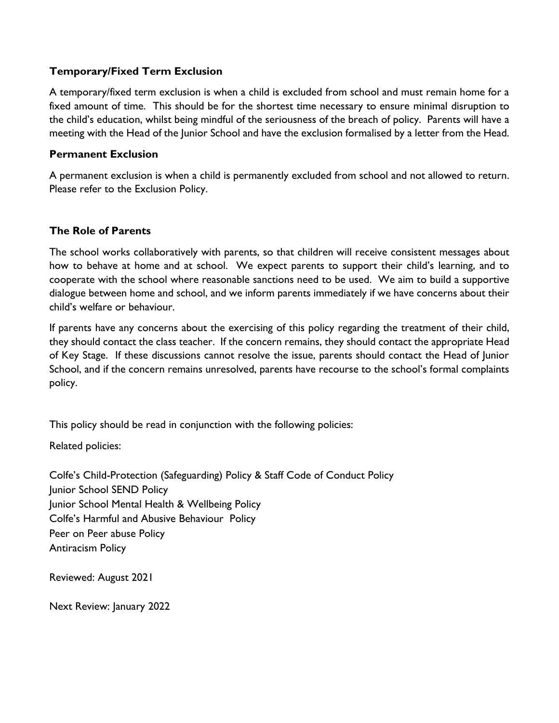#### **Temporary/Fixed Term Exclusion**

A temporary/fixed term exclusion is when a child is excluded from school and must remain home for a fixed amount of time. This should be for the shortest time necessary to ensure minimal disruption to the child's education, whilst being mindful of the seriousness of the breach of policy. Parents will have a meeting with the Head of the Junior School and have the exclusion formalised by a letter from the Head.

#### **Permanent Exclusion**

A permanent exclusion is when a child is permanently excluded from school and not allowed to return. Please refer to the Exclusion Policy.

#### **The Role of Parents**

The school works collaboratively with parents, so that children will receive consistent messages about how to behave at home and at school. We expect parents to support their child's learning, and to cooperate with the school where reasonable sanctions need to be used. We aim to build a supportive dialogue between home and school, and we inform parents immediately if we have concerns about their child's welfare or behaviour.

If parents have any concerns about the exercising of this policy regarding the treatment of their child, they should contact the class teacher. If the concern remains, they should contact the appropriate Head of Key Stage. If these discussions cannot resolve the issue, parents should contact the Head of Junior School, and if the concern remains unresolved, parents have recourse to the school's formal complaints policy.

This policy should be read in conjunction with the following policies:

Related policies:

Colfe's Child-Protection (Safeguarding) Policy & Staff Code of Conduct Policy Junior School SEND Policy Junior School Mental Health & Wellbeing Policy Colfe's Harmful and Abusive Behaviour Policy Peer on Peer abuse Policy Antiracism Policy

Reviewed: August 2021

Next Review: January 2022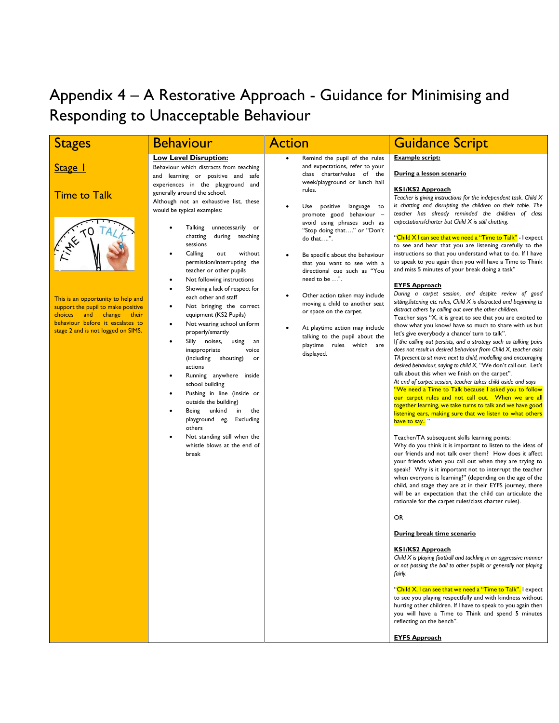## Appendix 4 – A Restorative Approach - Guidance for Minimising and Responding to Unacceptable Behaviour

|                                                                                                                                                                                                                                      | <b>Behaviour</b>                                                                                                                                                                                                                                                                                                                                                                                                                                                                                                                                                                                                                                                                                                                                                                                                                                                                                                       | <b>Action</b>                                                                                                                                                                                                                                                                                                                                                                                                                                                                                                                                                                                                | <b>Guidance Script</b>                                                                                                                                                                                                                                                                                                                                                                                                                                                                                                                                                                                                                                                                                                                                                                                                                                                                                                                                                                                                                                                                                                                                                                                                                                                                                                                                                                                                                                                                                                                                                                                                                                                                                          |
|--------------------------------------------------------------------------------------------------------------------------------------------------------------------------------------------------------------------------------------|------------------------------------------------------------------------------------------------------------------------------------------------------------------------------------------------------------------------------------------------------------------------------------------------------------------------------------------------------------------------------------------------------------------------------------------------------------------------------------------------------------------------------------------------------------------------------------------------------------------------------------------------------------------------------------------------------------------------------------------------------------------------------------------------------------------------------------------------------------------------------------------------------------------------|--------------------------------------------------------------------------------------------------------------------------------------------------------------------------------------------------------------------------------------------------------------------------------------------------------------------------------------------------------------------------------------------------------------------------------------------------------------------------------------------------------------------------------------------------------------------------------------------------------------|-----------------------------------------------------------------------------------------------------------------------------------------------------------------------------------------------------------------------------------------------------------------------------------------------------------------------------------------------------------------------------------------------------------------------------------------------------------------------------------------------------------------------------------------------------------------------------------------------------------------------------------------------------------------------------------------------------------------------------------------------------------------------------------------------------------------------------------------------------------------------------------------------------------------------------------------------------------------------------------------------------------------------------------------------------------------------------------------------------------------------------------------------------------------------------------------------------------------------------------------------------------------------------------------------------------------------------------------------------------------------------------------------------------------------------------------------------------------------------------------------------------------------------------------------------------------------------------------------------------------------------------------------------------------------------------------------------------------|
| <b>Stages</b><br>Stage 1<br><b>Time to Talk</b><br>This is an opportunity to help and<br>support the pupil to make positive<br>choices and change<br>their<br>behaviour before it escalates to<br>stage 2 and is not logged on SIMS. | <b>Low Level Disruption:</b><br>Behaviour which distracts from teaching<br>and learning or positive and safe<br>experiences in the playground and<br>generally around the school.<br>Although not an exhaustive list, these<br>would be typical examples:<br>Talking unnecessarily or<br>chatting<br>during teaching<br>sessions<br>Calling<br>without<br>out<br>permission/interrupting the<br>teacher or other pupils<br>Not following instructions<br>Showing a lack of respect for<br>each other and staff<br>Not bringing the correct<br>٠<br>equipment (KS2 Pupils)<br>Not wearing school uniform<br>$\bullet$<br>properly/smartly<br>Silly noises,<br>using<br>an<br>inappropriate<br>voice<br>(including<br>shouting)<br>or<br>actions<br>Running anywhere inside<br>school building<br>Pushing in line (inside or<br>outside the building)<br>Being unkind<br>in<br>the<br>playground eg. Excluding<br>others | Remind the pupil of the rules<br>and expectations, refer to your<br>class charter/value of the<br>week/playground or lunch hall<br>rules.<br>Use positive language to<br>promote good behaviour -<br>avoid using phrases such as<br>"Stop doing that" or "Don't<br>do that".<br>Be specific about the behaviour<br>that you want to see with a<br>directional cue such as "You<br>need to be ".<br>Other action taken may include<br>moving a child to another seat<br>or space on the carpet.<br>At playtime action may include<br>talking to the pupil about the<br>playtime rules which are<br>displayed. | <b>Example script:</b><br>During a lesson scenario<br><b>KSI/KS2 Approach</b><br>Teacher is giving instructions for the independent task. Child X<br>is chatting and disrupting the children on their table. The<br>teacher has already reminded the children of class<br>expectations/charter but Child X is still chatting.<br>" <mark>Child X I can see that we need a "Time to Talk"</mark> - I expect<br>to see and hear that you are listening carefully to the<br>instructions so that you understand what to do. If I have<br>to speak to you again then you will have a Time to Think<br>and miss 5 minutes of your break doing a task"<br><b>EYFS Approach</b><br>During a carpet session, and despite review of good<br>sitting listening etc rules, Child X is distracted and beginning to<br>distract others by calling out over the other children.<br>Teacher says "X, it is great to see that you are excited to<br>show what you know/ have so much to share with us but<br>let's give everybody a chance/ turn to talk".<br>If the calling out persists, and a strategy such as talking pairs<br>does not result in desired behaviour from Child X, teacher asks<br>TA present to sit move next to child, modelling and encouraging<br>desired behaviour, saying to child X, "We don't call out. Let's<br>talk about this when we finish on the carpet".<br>At end of carpet session, teacher takes child aside and says<br>"We need a Time to Talk because I asked you to follow<br>our carpet rules and not call out. When we are all<br>together learning, we take turns to talk and we have good<br>listening ears, making sure that we listen to what others<br>have to say <sup>"</sup> |
|                                                                                                                                                                                                                                      | Not standing still when the<br>whistle blows at the end of<br>break                                                                                                                                                                                                                                                                                                                                                                                                                                                                                                                                                                                                                                                                                                                                                                                                                                                    |                                                                                                                                                                                                                                                                                                                                                                                                                                                                                                                                                                                                              | Teacher/TA subsequent skills learning points:<br>Why do you think it is important to listen to the ideas of<br>our friends and not talk over them? How does it affect<br>your friends when you call out when they are trying to<br>speak? Why is it important not to interrupt the teacher<br>when everyone is learning?" (depending on the age of the<br>child, and stage they are at in their EYFS journey, there<br>will be an expectation that the child can articulate the<br>rationale for the carpet rules/class charter rules).                                                                                                                                                                                                                                                                                                                                                                                                                                                                                                                                                                                                                                                                                                                                                                                                                                                                                                                                                                                                                                                                                                                                                                         |
|                                                                                                                                                                                                                                      |                                                                                                                                                                                                                                                                                                                                                                                                                                                                                                                                                                                                                                                                                                                                                                                                                                                                                                                        |                                                                                                                                                                                                                                                                                                                                                                                                                                                                                                                                                                                                              | OR                                                                                                                                                                                                                                                                                                                                                                                                                                                                                                                                                                                                                                                                                                                                                                                                                                                                                                                                                                                                                                                                                                                                                                                                                                                                                                                                                                                                                                                                                                                                                                                                                                                                                                              |
|                                                                                                                                                                                                                                      |                                                                                                                                                                                                                                                                                                                                                                                                                                                                                                                                                                                                                                                                                                                                                                                                                                                                                                                        |                                                                                                                                                                                                                                                                                                                                                                                                                                                                                                                                                                                                              | During break time scenario                                                                                                                                                                                                                                                                                                                                                                                                                                                                                                                                                                                                                                                                                                                                                                                                                                                                                                                                                                                                                                                                                                                                                                                                                                                                                                                                                                                                                                                                                                                                                                                                                                                                                      |
|                                                                                                                                                                                                                                      |                                                                                                                                                                                                                                                                                                                                                                                                                                                                                                                                                                                                                                                                                                                                                                                                                                                                                                                        |                                                                                                                                                                                                                                                                                                                                                                                                                                                                                                                                                                                                              | <b>KSI/KS2 Approach</b><br>Child X is playing football and tackling in an aggressive manner<br>or not passing the ball to other pupils or generally not playing<br>fairly.                                                                                                                                                                                                                                                                                                                                                                                                                                                                                                                                                                                                                                                                                                                                                                                                                                                                                                                                                                                                                                                                                                                                                                                                                                                                                                                                                                                                                                                                                                                                      |
|                                                                                                                                                                                                                                      |                                                                                                                                                                                                                                                                                                                                                                                                                                                                                                                                                                                                                                                                                                                                                                                                                                                                                                                        |                                                                                                                                                                                                                                                                                                                                                                                                                                                                                                                                                                                                              | "Child X, I can see that we need a "Time to Talk". I expect<br>to see you playing respectfully and with kindness without<br>hurting other children. If I have to speak to you again then<br>you will have a Time to Think and spend 5 minutes<br>reflecting on the bench".                                                                                                                                                                                                                                                                                                                                                                                                                                                                                                                                                                                                                                                                                                                                                                                                                                                                                                                                                                                                                                                                                                                                                                                                                                                                                                                                                                                                                                      |
|                                                                                                                                                                                                                                      |                                                                                                                                                                                                                                                                                                                                                                                                                                                                                                                                                                                                                                                                                                                                                                                                                                                                                                                        |                                                                                                                                                                                                                                                                                                                                                                                                                                                                                                                                                                                                              | <b>EYFS Approach</b>                                                                                                                                                                                                                                                                                                                                                                                                                                                                                                                                                                                                                                                                                                                                                                                                                                                                                                                                                                                                                                                                                                                                                                                                                                                                                                                                                                                                                                                                                                                                                                                                                                                                                            |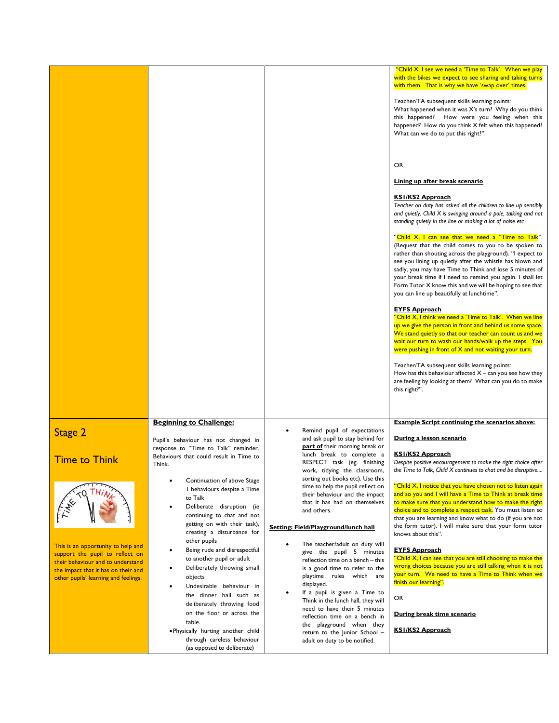|                                                                             |                                                                              |                                                                       | "Child X, I see we need a 'Time to Talk'. When we play<br>with the bikes we expect to see sharing and taking turns<br>with them. That is why we have 'swap over' times.<br>Teacher/TA subsequent skills learning points:<br>What happened when it was X's turn? Why do you think<br>this happened? How were you feeling when this<br>happened? How do you think X felt when this happened?<br>What can we do to put this right?".<br><b>OR</b><br>Lining up after break scenario<br><b>KSI/KS2 Approach</b><br>Teacher on duty has asked all the children to line up sensibly<br>and quietly. Child X is swinging around a pole, talking and not<br>standing quietly in the line or making a lot of noise etc<br>"Child X, I can see that we need a "Time to Talk".<br>(Request that the child comes to you to be spoken to<br>rather than shouting across the playground). "I expect to<br>see you lining up quietly after the whistle has blown and<br>sadly, you may have Time to Think and lose 5 minutes of<br>your break time if I need to remind you again. I shall let<br>Form Tutor X know this and we will be hoping to see that<br>you can line up beautifully at lunchtime".<br><b>EYFS Approach</b><br>"Child X, I think we need a 'Time to Talk'. When we line<br>up we give the person in front and behind us some space.<br>We stand quietly so that our teacher can count us and we<br>wait our turn to wash our hands/walk up the steps. You<br>were pushing in front of X and not waiting your turn.<br>Teacher/TA subsequent skills learning points:<br>How has this behaviour affected $X$ – can you see how they |
|-----------------------------------------------------------------------------|------------------------------------------------------------------------------|-----------------------------------------------------------------------|----------------------------------------------------------------------------------------------------------------------------------------------------------------------------------------------------------------------------------------------------------------------------------------------------------------------------------------------------------------------------------------------------------------------------------------------------------------------------------------------------------------------------------------------------------------------------------------------------------------------------------------------------------------------------------------------------------------------------------------------------------------------------------------------------------------------------------------------------------------------------------------------------------------------------------------------------------------------------------------------------------------------------------------------------------------------------------------------------------------------------------------------------------------------------------------------------------------------------------------------------------------------------------------------------------------------------------------------------------------------------------------------------------------------------------------------------------------------------------------------------------------------------------------------------------------------------------------------------------------------------------------|
|                                                                             |                                                                              |                                                                       | are feeling by looking at them? What can you do to make<br>this right?".                                                                                                                                                                                                                                                                                                                                                                                                                                                                                                                                                                                                                                                                                                                                                                                                                                                                                                                                                                                                                                                                                                                                                                                                                                                                                                                                                                                                                                                                                                                                                               |
|                                                                             | <b>Beginning to Challenge:</b>                                               |                                                                       | <b>Example Script continuing the scenarios above:</b>                                                                                                                                                                                                                                                                                                                                                                                                                                                                                                                                                                                                                                                                                                                                                                                                                                                                                                                                                                                                                                                                                                                                                                                                                                                                                                                                                                                                                                                                                                                                                                                  |
| Stage 2                                                                     |                                                                              | Remind pupil of expectations<br>$\bullet$                             |                                                                                                                                                                                                                                                                                                                                                                                                                                                                                                                                                                                                                                                                                                                                                                                                                                                                                                                                                                                                                                                                                                                                                                                                                                                                                                                                                                                                                                                                                                                                                                                                                                        |
|                                                                             | Pupil's behaviour has not changed in<br>response to "Time to Talk" reminder. | and ask pupil to stay behind for<br>part of their morning break or    | During a lesson scenario                                                                                                                                                                                                                                                                                                                                                                                                                                                                                                                                                                                                                                                                                                                                                                                                                                                                                                                                                                                                                                                                                                                                                                                                                                                                                                                                                                                                                                                                                                                                                                                                               |
| <b>Time to Think</b>                                                        | Behaviours that could result in Time to                                      | lunch break to complete a<br>RESPECT task (eg. finishing              | <u>KSI/KS2 Approach</u><br>Despite positive encouragement to make the right choice after                                                                                                                                                                                                                                                                                                                                                                                                                                                                                                                                                                                                                                                                                                                                                                                                                                                                                                                                                                                                                                                                                                                                                                                                                                                                                                                                                                                                                                                                                                                                               |
|                                                                             | Think.                                                                       | work, tidying the classroom,                                          | the Time to Talk, Child X continues to chat and be disruptive                                                                                                                                                                                                                                                                                                                                                                                                                                                                                                                                                                                                                                                                                                                                                                                                                                                                                                                                                                                                                                                                                                                                                                                                                                                                                                                                                                                                                                                                                                                                                                          |
|                                                                             | Continuation of above Stage<br>I behaviours despite a Time                   | sorting out books etc). Use this<br>time to help the pupil reflect on | "Child X, I notice that you have chosen not to listen again                                                                                                                                                                                                                                                                                                                                                                                                                                                                                                                                                                                                                                                                                                                                                                                                                                                                                                                                                                                                                                                                                                                                                                                                                                                                                                                                                                                                                                                                                                                                                                            |
|                                                                             | to Talk                                                                      | their behaviour and the impact<br>that it has had on themselves       | and so you and I will have a Time to Think at break time<br>to make sure that you understand how to make the right                                                                                                                                                                                                                                                                                                                                                                                                                                                                                                                                                                                                                                                                                                                                                                                                                                                                                                                                                                                                                                                                                                                                                                                                                                                                                                                                                                                                                                                                                                                     |
|                                                                             | Deliberate disruption (ie<br>continuing to chat and not                      | and others.                                                           | choice and to complete a respect task. You must listen so<br>that you are learning and know what to do (if you are not                                                                                                                                                                                                                                                                                                                                                                                                                                                                                                                                                                                                                                                                                                                                                                                                                                                                                                                                                                                                                                                                                                                                                                                                                                                                                                                                                                                                                                                                                                                 |
|                                                                             | getting on with their task),<br>creating a disturbance for                   | Setting: Field/Playground/lunch hall                                  | the form tutor). I will make sure that your form tutor<br>knows about this".                                                                                                                                                                                                                                                                                                                                                                                                                                                                                                                                                                                                                                                                                                                                                                                                                                                                                                                                                                                                                                                                                                                                                                                                                                                                                                                                                                                                                                                                                                                                                           |
| This is an opportunity to help and                                          | other pupils                                                                 | The teacher/adult on duty will                                        |                                                                                                                                                                                                                                                                                                                                                                                                                                                                                                                                                                                                                                                                                                                                                                                                                                                                                                                                                                                                                                                                                                                                                                                                                                                                                                                                                                                                                                                                                                                                                                                                                                        |
| support the pupil to reflect on<br>their behaviour and to understand        | Being rude and disrespectful<br>to another pupil or adult                    | give the pupil 5 minutes<br>reflection time on a bench - this         | <b>EYFS Approach</b><br>"Child X, I can see that you are still choosing to make the                                                                                                                                                                                                                                                                                                                                                                                                                                                                                                                                                                                                                                                                                                                                                                                                                                                                                                                                                                                                                                                                                                                                                                                                                                                                                                                                                                                                                                                                                                                                                    |
| the impact that it has on their and<br>other pupils' learning and feelings. | Deliberately throwing small<br>objects                                       | is a good time to refer to the<br>playtime rules which are            | wrong choices because you are still talking when it is not<br>your turn. We need to have a Time to Think when we                                                                                                                                                                                                                                                                                                                                                                                                                                                                                                                                                                                                                                                                                                                                                                                                                                                                                                                                                                                                                                                                                                                                                                                                                                                                                                                                                                                                                                                                                                                       |
|                                                                             | Undesirable behaviour in                                                     | displayed.<br>If a pupil is given a Time to<br>$\bullet$              | finish our learning".                                                                                                                                                                                                                                                                                                                                                                                                                                                                                                                                                                                                                                                                                                                                                                                                                                                                                                                                                                                                                                                                                                                                                                                                                                                                                                                                                                                                                                                                                                                                                                                                                  |
|                                                                             | the dinner hall such as<br>deliberately throwing food                        | Think in the lunch hall, they will                                    | OR                                                                                                                                                                                                                                                                                                                                                                                                                                                                                                                                                                                                                                                                                                                                                                                                                                                                                                                                                                                                                                                                                                                                                                                                                                                                                                                                                                                                                                                                                                                                                                                                                                     |
|                                                                             | on the floor or across the                                                   | need to have their 5 minutes<br>reflection time on a bench in         | During break time scenario                                                                                                                                                                                                                                                                                                                                                                                                                                                                                                                                                                                                                                                                                                                                                                                                                                                                                                                                                                                                                                                                                                                                                                                                                                                                                                                                                                                                                                                                                                                                                                                                             |
|                                                                             | table.<br>. Physically hurting another child                                 | the playground when they<br>return to the Junior School -             | <b>KSI/KS2 Approach</b>                                                                                                                                                                                                                                                                                                                                                                                                                                                                                                                                                                                                                                                                                                                                                                                                                                                                                                                                                                                                                                                                                                                                                                                                                                                                                                                                                                                                                                                                                                                                                                                                                |
|                                                                             | through careless behaviour<br>(as opposed to deliberate)                     | adult on duty to be notified.                                         |                                                                                                                                                                                                                                                                                                                                                                                                                                                                                                                                                                                                                                                                                                                                                                                                                                                                                                                                                                                                                                                                                                                                                                                                                                                                                                                                                                                                                                                                                                                                                                                                                                        |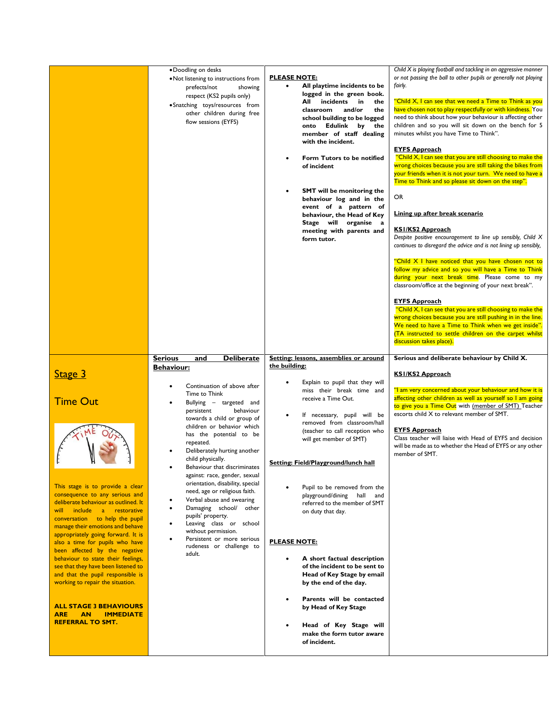|                                                                                                                                                                                                                                                                                                                                                                                                                                                                                                                                                                                                                                | • Doodling on desks<br>• Not listening to instructions from<br>prefects/not<br>showing<br>respect (KS2 pupils only)<br>• Snatching toys/resources from<br>other children during free<br>flow sessions (EYFS)                                                                                                                                                                                                                                                                                                                                                                                                                                                            | <b>PLEASE NOTE:</b><br>All playtime incidents to be<br>$\bullet$<br>logged in the green book.<br>All incidents in<br>the<br>classroom<br>and/or<br>the<br>school building to be logged<br>onto Edulink by<br>the<br>member of staff dealing<br>with the incident.<br>Form Tutors to be notified<br>of incident<br><b>SMT</b> will be monitoring the<br>$\bullet$<br>behaviour log and in the<br>event of a pattern of<br>behaviour, the Head of Key<br>Stage will organise a<br>meeting with parents and<br>form tutor.                                                                                                                                                                | Child X is playing football and tackling in an aggressive manner<br>or not passing the ball to other pupils or generally not playing<br>fairly.<br>"Child X, I can see that we need a Time to Think as you<br>have chosen not to play respectfully or with kindness. You<br>need to think about how your behaviour is affecting other<br>children and so you will sit down on the bench for 5<br>minutes whilst you have Time to Think".<br><b>EYFS Approach</b><br>"Child X, I can see that you are still choosing to make the<br>wrong choices because you are still taking the bikes from<br>your friends when it is not your turn. We need to have a<br>Time to Think and so please sit down on the step".<br>OR<br>Lining up after break scenario<br><b>KSI/KS2 Approach</b><br>Despite positive encouragement to line up sensibly, Child X<br>continues to disregard the advice and is not lining up sensibly,<br>"Child X I have noticed that you have chosen not to<br>follow my advice and so you will have a Time to Think<br>during your next break time. Please come to my<br>classroom/office at the beginning of your next break".<br><b>EYFS Approach</b><br>"Child X, I can see that you are still choosing to make the<br>wrong choices because you are still pushing in in the line.<br>We need to have a Time to Think when we get inside".<br>(TA instructed to settle children on the carpet whilst<br>discussion takes place). |
|--------------------------------------------------------------------------------------------------------------------------------------------------------------------------------------------------------------------------------------------------------------------------------------------------------------------------------------------------------------------------------------------------------------------------------------------------------------------------------------------------------------------------------------------------------------------------------------------------------------------------------|-------------------------------------------------------------------------------------------------------------------------------------------------------------------------------------------------------------------------------------------------------------------------------------------------------------------------------------------------------------------------------------------------------------------------------------------------------------------------------------------------------------------------------------------------------------------------------------------------------------------------------------------------------------------------|----------------------------------------------------------------------------------------------------------------------------------------------------------------------------------------------------------------------------------------------------------------------------------------------------------------------------------------------------------------------------------------------------------------------------------------------------------------------------------------------------------------------------------------------------------------------------------------------------------------------------------------------------------------------------------------|------------------------------------------------------------------------------------------------------------------------------------------------------------------------------------------------------------------------------------------------------------------------------------------------------------------------------------------------------------------------------------------------------------------------------------------------------------------------------------------------------------------------------------------------------------------------------------------------------------------------------------------------------------------------------------------------------------------------------------------------------------------------------------------------------------------------------------------------------------------------------------------------------------------------------------------------------------------------------------------------------------------------------------------------------------------------------------------------------------------------------------------------------------------------------------------------------------------------------------------------------------------------------------------------------------------------------------------------------------------------------------------------------------------------------------------------------|
| <b>Stage 3</b><br><b>Time Out</b><br>This stage is to provide a clear<br>consequence to any serious and<br>deliberate behaviour as outlined. It<br>will include a restorative<br>conversation to help the pupil<br>manage their emotions and behave<br>appropriately going forward. It is<br>also a time for pupils who have<br>been affected by the negative<br>behaviour to state their feelings,<br>see that they have been listened to<br>and that the pupil responsible is<br>working to repair the situation.<br><b>ALL STAGE 3 BEHAVIOURS</b><br><b>ARE</b><br><b>AN</b><br><b>IMMEDIATE</b><br><b>REFERRAL TO SMT.</b> | <b>Deliberate</b><br><b>Serious</b><br>and<br><b>Behaviour:</b><br>Continuation of above after<br>Time to Think<br>Bullying - targeted and<br>persistent<br>behaviour<br>towards a child or group of<br>children or behavior which<br>has the potential to be<br>repeated.<br>Deliberately hurting another<br>child physically.<br>Behaviour that discriminates<br>against: race, gender, sexual<br>orientation, disability, special<br>need, age or religious faith.<br>Verbal abuse and swearing<br>Damaging school/ other<br>pupils' property.<br>Leaving class or school<br>without permission.<br>Persistent or more serious<br>rudeness or challenge to<br>adult. | Setting: lessons, assemblies or around<br>the building:<br>Explain to pupil that they will<br>miss their break time and<br>receive a Time Out.<br>If necessary, pupil will be<br>$\bullet$<br>removed from classroom/hall<br>(teacher to call reception who<br>will get member of SMT)<br>Setting: Field/Playground/lunch hall<br>Pupil to be removed from the<br>playground/dining<br>hall<br>and<br>referred to the member of SMT<br>on duty that day.<br><b>PLEASE NOTE:</b><br>A short factual description<br>of the incident to be sent to<br>Head of Key Stage by email<br>by the end of the day.<br>Parents will be contacted<br>by Head of Key Stage<br>Head of Key Stage will | Serious and deliberate behaviour by Child X.<br><b>KSI/KS2 Approach</b><br>"I am very concerned about your behaviour and how it is<br>affecting other children as well as yourself so I am going<br>to give you a Time Out with <u>(member of SMT)</u> Teacher<br>escorts child X to relevant member of SMT.<br><u>EYFS Approach</u><br>Class teacher will liaise with Head of EYFS and decision<br>will be made as to whether the Head of EYFS or any other<br>member of SMT.                                                                                                                                                                                                                                                                                                                                                                                                                                                                                                                                                                                                                                                                                                                                                                                                                                                                                                                                                                       |